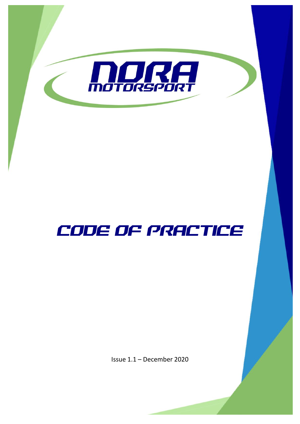

# CODE OF PRACTICE

Issue 1.1 – December 2020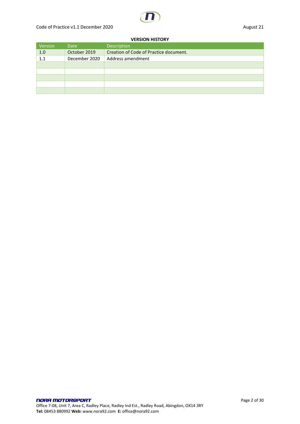#### **VERSION HISTORY**

| Version | Date          | Description                            |
|---------|---------------|----------------------------------------|
| 1.0     | October 2019  | Creation of Code of Practice document. |
| 1.1     | December 2020 | Address amendment                      |
|         |               |                                        |
|         |               |                                        |
|         |               |                                        |
|         |               |                                        |
|         |               |                                        |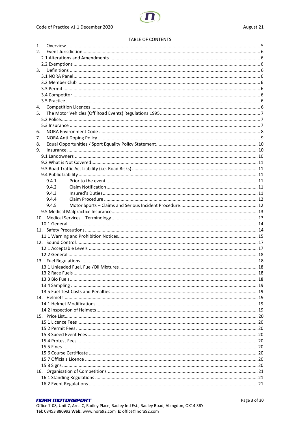#### **TABLE OF CONTENTS**

| 1. |       |  |
|----|-------|--|
| 2. |       |  |
|    |       |  |
|    |       |  |
| 3. |       |  |
|    |       |  |
|    |       |  |
|    |       |  |
|    |       |  |
|    |       |  |
| 4. |       |  |
| 5. |       |  |
|    |       |  |
|    |       |  |
| 6. |       |  |
| 7. |       |  |
| 8. |       |  |
| 9. |       |  |
|    |       |  |
|    |       |  |
|    |       |  |
|    |       |  |
|    | 9.4.1 |  |
|    | 9.4.2 |  |
|    | 9.4.3 |  |
|    | 9.4.4 |  |
|    | 9.4.5 |  |
|    |       |  |
|    |       |  |
|    |       |  |
|    |       |  |
|    |       |  |
|    |       |  |
|    |       |  |
|    |       |  |
|    |       |  |
|    |       |  |
|    |       |  |
|    |       |  |
|    |       |  |
|    |       |  |
|    |       |  |
|    |       |  |
|    |       |  |
|    |       |  |
|    |       |  |
|    |       |  |
|    |       |  |
|    |       |  |
|    |       |  |
|    |       |  |
|    |       |  |
|    |       |  |
|    |       |  |
|    |       |  |
|    |       |  |
|    |       |  |

#### **NORA MOTORSPORT**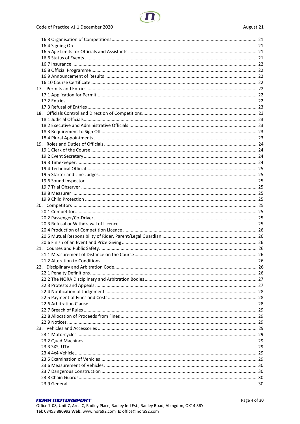#### **NORA MOTORSPORT**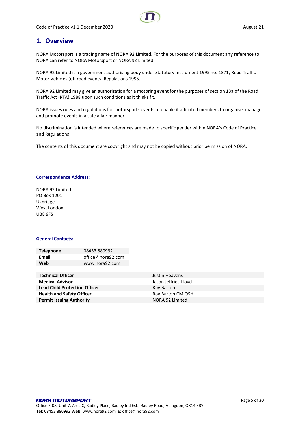### <span id="page-4-0"></span>**1. Overview**

NORA Motorsport is a trading name of NORA 92 Limited. For the purposes of this document any reference to NORA can refer to NORA Motorsport or NORA 92 Limited.

NORA 92 Limited is a government authorising body under Statutory Instrument 1995 no. 1371, Road Traffic Motor Vehicles (off road events) Regulations 1995.

NORA 92 Limited may give an authorisation for a motoring event for the purposes of section 13a of the Road Traffic Act (RTA) 1988 upon such conditions as it thinks fit.

NORA issues rules and regulations for motorsports events to enable it affiliated members to organise, manage and promote events in a safe a fair manner.

No discrimination is intended where references are made to specific gender within NORA's Code of Practice and Regulations

The contents of this document are copyright and may not be copied without prior permission of NORA.

#### **Correspondence Address:**

NORA 92 Limited PO Box 1201 Uxbridge West London UB8 9FS

#### **General Contacts:**

| <b>Telephone</b> | 08453 880992      |
|------------------|-------------------|
| Email            | office@nora92.com |
| Web              | www.nora92.com    |

| <b>Technical Officer</b>             | Justin Heavens           |
|--------------------------------------|--------------------------|
| <b>Medical Advisor</b>               | Jason Jeffries-Lloyd     |
| <b>Lead Child Protection Officer</b> | Roy Barton               |
| <b>Health and Safety Officer</b>     | <b>Roy Barton CMIOSH</b> |
| <b>Permit Issuing Authority</b>      | NORA 92 Limited          |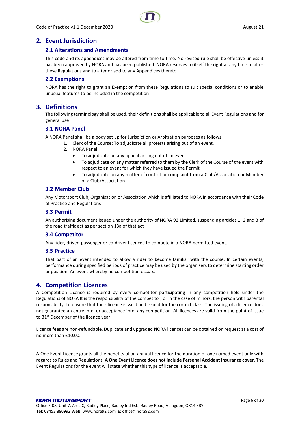### <span id="page-5-1"></span><span id="page-5-0"></span>**2. Event Jurisdiction**

### **2.1 Alterations and Amendments**

This code and its appendices may be altered from time to time. No revised rule shall be effective unless it has been approved by NORA and has been published. NORA reserves to itself the right at any time to alter these Regulations and to alter or add to any Appendices thereto.

### <span id="page-5-2"></span>**2.2 Exemptions**

NORA has the right to grant an Exemption from these Regulations to suit special conditions or to enable unusual features to be included in the competition

### <span id="page-5-3"></span>**3. Definitions**

The following terminology shall be used, their definitions shall be applicable to all Event Regulations and for general use

### <span id="page-5-4"></span>**3.1 NORA Panel**

A NORA Panel shall be a body set up for Jurisdiction or Arbitration purposes as follows.

- 1. Clerk of the Course: To adjudicate all protests arising out of an event.
- 2. NORA Panel:
	- To adjudicate on any appeal arising out of an event.
	- To adjudicate on any matter referred to them by the Clerk of the Course of the event with respect to an event for which they have issued the Permit.
	- To adjudicate on any matter of conflict or complaint from a Club/Association or Member of a Club/Association

#### <span id="page-5-5"></span>**3.2 Member Club**

Any Motorsport Club, Organisation or Association which is affiliated to NORA in accordance with their Code of Practice and Regulations

#### <span id="page-5-6"></span>**3.3 Permit**

An authorising document issued under the authority of NORA 92 Limited, suspending articles 1, 2 and 3 of the road traffic act as per section 13a of that act

#### <span id="page-5-7"></span>**3.4 Competitor**

Any rider, driver, passenger or co-driver licenced to compete in a NORA permitted event.

#### <span id="page-5-8"></span>**3.5 Practice**

That part of an event intended to allow a rider to become familiar with the course. In certain events, performance during specified periods of practice may be used by the organisers to determine starting order or position. An event whereby no competition occurs.

### <span id="page-5-9"></span>**4. Competition Licences**

A Competition Licence is required by every competitor participating in any competition held under the Regulations of NORA It is the responsibility of the competitor, or in the case of minors, the person with parental responsibility, to ensure that their licence is valid and issued for the correct class. The issuing of a licence does not guarantee an entry into, or acceptance into, any competition. All licences are valid from the point of issue to 31<sup>st</sup> December of the licence year.

Licence fees are non-refundable. Duplicate and upgraded NORA licences can be obtained on request at a cost of no more than £10.00.

A One Event Licence grants all the benefits of an annual licence for the duration of one named event only with regards to Rules and Regulations. **A One Event Licence does not include Personal Accident insurance cover**. The Event Regulations for the event will state whether this type of licence is acceptable.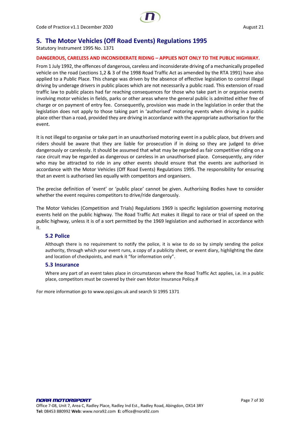

### <span id="page-6-0"></span>**5. The Motor Vehicles (Off Road Events) Regulations 1995**

Statutory Instrument 1995 No. 1371

#### **DANGEROUS, CARELESS AND INCONSIDERATE RIDING – APPLIES NOT ONLY TO THE PUBLIC HIGHWAY.**

From 1 July 1992, the offences of dangerous, careless and inconsiderate driving of a mechanically propelled vehicle on the road (sections 1,2 & 3 of the 1998 Road Traffic Act as amended by the RTA 1991) have also applied to a Public Place. This change was driven by the absence of effective legislation to control illegal driving by underage drivers in public places which are not necessarily a public road. This extension of road traffic law to public places had far reaching consequences for those who take part in or organise events involving motor vehicles in fields, parks or other areas where the general public is admitted either free of charge or on payment of entry fee. Consequently, provision was made in the legislation in order that the legislation does not apply to those taking part in 'authorised' motoring events when driving in a public place other than a road, provided they are driving in accordance with the appropriate authorisation for the event.

It is not illegal to organise or take part in an unauthorised motoring event in a public place, but drivers and riders should be aware that they are liable for prosecution if in doing so they are judged to drive dangerously or carelessly. It should be assumed that what may be regarded as fair competitive riding on a race circuit may be regarded as dangerous or careless in an unauthorised place. Consequently, any rider who may be attracted to ride in any other events should ensure that the events are authorised in accordance with the Motor Vehicles (Off Road Events) Regulations 1995. The responsibility for ensuring that an event is authorised lies equally with competitors and organisers.

The precise definition of 'event' or 'public place' cannot be given. Authorising Bodies have to consider whether the event requires competitors to drive/ride dangerously.

The Motor Vehicles (Competition and Trials) Regulations 1969 is specific legislation governing motoring events held on the public highway. The Road Traffic Act makes it illegal to race or trial of speed on the public highway, unless it is of a sort permitted by the 1969 legislation and authorised in accordance with it.

### <span id="page-6-1"></span>**5.2 Police**

Although there is no requirement to notify the police, it is wise to do so by simply sending the police authority, through which your event runs, a copy of a publicity sheet, or event diary, highlighting the date and location of checkpoints, and mark it "for information only".

#### <span id="page-6-2"></span>**5.3 Insurance**

Where any part of an event takes place in circumstances where the Road Traffic Act applies, i.e. in a public place, competitors must be covered by their own Motor Insurance Policy.#

For more information go to www.opsi.gov.uk and search SI 1995 1371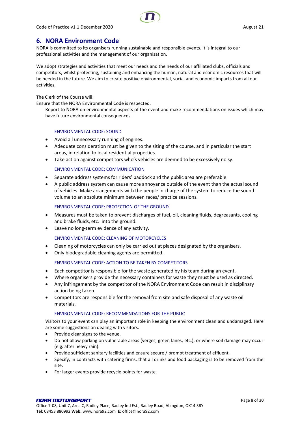

### <span id="page-7-0"></span>**6. NORA Environment Code**

NORA is committed to its organisers running sustainable and responsible events. It is integral to our professional activities and the management of our organisation.

We adopt strategies and activities that meet our needs and the needs of our affiliated clubs, officials and competitors, whilst protecting, sustaining and enhancing the human, natural and economic resources that will be needed in the future. We aim to create positive environmental, social and economic impacts from all our activities.

The Clerk of the Course will:

Ensure that the NORA Environmental Code is respected.

Report to NORA on environmental aspects of the event and make recommendations on issues which may have future environmental consequences.

#### ENVIRONMENTAL CODE: SOUND

- Avoid all unnecessary running of engines.
- Adequate consideration must be given to the siting of the course, and in particular the start areas, in relation to local residential properties.
- Take action against competitors who's vehicles are deemed to be excessively noisy.

#### ENVIRONMENTAL CODE: COMMUNICATION

- Separate address systems for riders' paddock and the public area are preferable.
- A public address system can cause more annoyance outside of the event than the actual sound of vehicles. Make arrangements with the people in charge of the system to reduce the sound volume to an absolute minimum between races/ practice sessions.

#### ENVIRONMENTAL CODE: PROTECTION OF THE GROUND

- Measures must be taken to prevent discharges of fuel, oil, cleaning fluids, degreasants, cooling and brake fluids, etc. into the ground.
- Leave no long-term evidence of any activity.

### ENVIRONMENTAL CODE: CLEANING OF MOTORCYCLES

- Cleaning of motorcycles can only be carried out at places designated by the organisers.
- Only biodegradable cleaning agents are permitted.

#### ENVIRONMENTAL CODE: ACTION TO BE TAKEN BY COMPETITORS

- Each competitor is responsible for the waste generated by his team during an event.
- Where organisers provide the necessary containers for waste they must be used as directed.
- Any infringement by the competitor of the NORA Environment Code can result in disciplinary action being taken.
- Competitors are responsible for the removal from site and safe disposal of any waste oil materials.

#### ENVIRONMENTAL CODE: RECOMMENDATIONS FOR THE PUBLIC

Visitors to your event can play an important role in keeping the environment clean and undamaged. Here are some suggestions on dealing with visitors:

- Provide clear signs to the venue.
- Do not allow parking on vulnerable areas (verges, green lanes, etc.), or where soil damage may occur (e.g. after heavy rain).
- Provide sufficient sanitary facilities and ensure secure / prompt treatment of effluent.
- Specify, in contracts with catering firms, that all drinks and food packaging is to be removed from the site.
- For larger events provide recycle points for waste.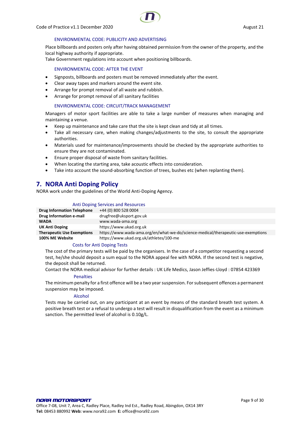

#### ENVIRONMENTAL CODE: PUBLICITY AND ADVERTISING

Place billboards and posters only after having obtained permission from the owner of the property, and the local highway authority if appropriate.

Take Government regulations into account when positioning billboards.

#### ENVIRONMENTAL CODE: AFTER THE EVENT

- Signposts, billboards and posters must be removed immediately after the event.
- Clear away tapes and markers around the event site.
- Arrange for prompt removal of all waste and rubbish.
- Arrange for prompt removal of all sanitary facilities

#### ENVIRONMENTAL CODE: CIRCUIT/TRACK MANAGEMENT

Managers of motor sport facilities are able to take a large number of measures when managing and maintaining a venue.

- Keep up maintenance and take care that the site is kept clean and tidy at all times.
- Take all necessary care, when making changes/adjustments to the site, to consult the appropriate authorities.
- Materials used for maintenance/improvements should be checked by the appropriate authorities to ensure they are not contaminated.
- Ensure proper disposal of waste from sanitary facilities.
- When locating the starting area, take acoustic effects into consideration.
- Take into account the sound-absorbing function of trees, bushes etc (when replanting them).

### <span id="page-8-0"></span>**7. NORA Anti Doping Policy**

NORA work under the guidelines of the World Anti-Doping Agency.

#### Anti Doping Services and Resources

| <b>Drug Information Telephone</b> | +44 (0) 800 528 0004                                                              |
|-----------------------------------|-----------------------------------------------------------------------------------|
| Drug Information e-mail           | drugfree@uksport.gov.uk                                                           |
| <b>WADA</b>                       | www.wada-ama.org                                                                  |
| <b>UK Anti Doping</b>             | https://www.ukad.org.uk                                                           |
| <b>Therapeutic Use Exemptions</b> | https://www.wada-ama.org/en/what-we-do/science-medical/therapeutic-use-exemptions |
| 100% ME Website                   | https://www.ukad.org.uk/athletes/100-me                                           |

#### Costs for Anti Doping Tests

The cost of the primary tests will be paid by the organisers. In the case of a competitor requesting a second test, he/she should deposit a sum equal to the NORA appeal fee with NORA. If the second test is negative, the deposit shall be returned.

Contact the NORA medical advisor for further details : UK Life Medics, Jason Jeffies-Lloyd : 07854 423369

#### **Penalties**

The minimum penalty for a first offence will be a two year suspension. For subsequent offences a permanent suspension may be imposed.

#### Alcohol

Tests may be carried out, on any participant at an event by means of the standard breath test system. A positive breath test or a refusal to undergo a test will result in disqualification from the event as a minimum sanction. The permitted level of alcohol is 0.10g/L.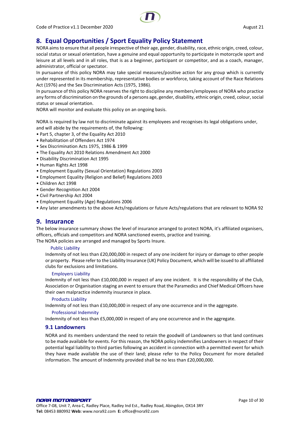

### <span id="page-9-0"></span>**8. Equal Opportunities / Sport Equality Policy Statement**

NORA aims to ensure that all people irrespective of their age, gender, disability, race, ethnic origin, creed, colour, social status or sexual orientation, have a genuine and equal opportunity to participate in motorcycle sport and leisure at all levels and in all roles, that is as a beginner, participant or competitor, and as a coach, manager, administrator, official or spectator.

In pursuance of this policy NORA may take special measures/positive action for any group which is currently under represented in its membership, representative bodies or workforce, taking account of the Race Relations Act (1976) and the Sex Discrimination Acts (1975, 1986).

In pursuance of this policy NORA reserves the right to discipline any members/employees of NORA who practice any forms of discrimination on the grounds of a persons age, gender, disability, ethnic origin, creed, colour, social status or sexual orientation.

NORA will monitor and evaluate this policy on an ongoing basis.

NORA is required by law not to discriminate against its employees and recognises its legal obligations under, and will abide by the requirements of, the following:

- Part 5, chapter 3, of the Equality Act 2010
- Rehabilitation of Offenders Act 1974
- Sex Discrimination Acts 1975, 1986 & 1999
- The Equality Act 2010 Relations Amendment Act 2000
- Disability Discrimination Act 1995
- Human Rights Act 1998
- Employment Equality (Sexual Orientation) Regulations 2003
- Employment Equality (Religion and Belief) Regulations 2003
- Children Act 1998
- Gender Recognition Act 2004
- Civil Partnership Act 2004
- Employment Equality (Age) Regulations 2006

<span id="page-9-1"></span>• Any later amendments to the above Acts/regulations or future Acts/regulations that are relevant to NORA 92

### **9. Insurance**

The below insurance summary shows the level of insurance arranged to protect NORA, it's affiliated organisers, officers, officials and competitors and NORA sanctioned events, practice and training.

The NORA policies are arranged and managed by Sports Insure.

#### Public Liability

Indemnity of not less than £20,000,000 in respect of any one incident for injury or damage to other people or property. Please refer to the Liability Insurance (UK) Policy Document, which will be issued to all affiliated clubs for exclusions and limitations.

#### Employers Liability

Indemnity of not less than £10,000,000 in respect of any one incident. It is the responsibility of the Club, Association or Organisation staging an event to ensure that the Paramedics and Chief Medical Officers have their own malpractice indemnity insurance in place.

#### Products Liability

Indemnity of not less than £10,000,000 in respect of any one occurrence and in the aggregate.

#### Professional Indemnity

Indemnity of not less than £5,000,000 in respect of any one occurrence and in the aggregate.

#### <span id="page-9-2"></span>**9.1 Landowners**

NORA and its members understand the need to retain the goodwill of Landowners so that land continues to be made available for events. For this reason, the NORA policy indemnifies Landowners in respect of their potential legal liability to third parties following an accident in connection with a permitted event for which they have made available the use of their land; please refer to the Policy Document for more detailed information. The amount of Indemnity provided shall be no less than £20,000,000.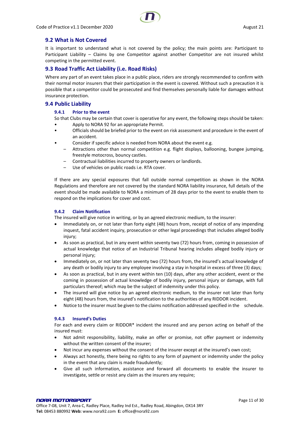### <span id="page-10-0"></span>**9.2 What is Not Covered**

It is important to understand what is not covered by the policy; the main points are: Participant to Participant Liability – Claims by one Competitor against another Competitor are not insured whilst competing in the permitted event.

### <span id="page-10-1"></span>**9.3 Road Traffic Act Liability (i.e. Road Risks)**

Where any part of an event takes place in a public place, riders are strongly recommended to confirm with their normal motor insurers that their participation in the event is covered. Without such a precaution it is possible that a competitor could be prosecuted and find themselves personally liable for damages without insurance protection.

#### <span id="page-10-3"></span><span id="page-10-2"></span>**9.4 Public Liability**

#### **9.4.1 Prior to the event**

So that Clubs may be certain that cover is operative for any event, the following steps should be taken: • Apply to NORA 92 for an appropriate Permit.

- Officials should be briefed prior to the event on risk assessment and procedure in the event of an accident.
- Consider if specific advice is needed from NORA about the event e.g.
	- Attractions other than normal competition e.g. flight displays, ballooning, bungee jumping, freestyle motocross, bouncy castles.
	- Contractual liabilities incurred to property owners or landlords.
	- Use of vehicles on public roads i.e. RTA cover.

If there are any special exposures that fall outside normal competition as shown in the NORA Regulations and therefore are not covered by the standard NORA liability insurance, full details of the event should be made available to NORA a minimum of 28 days prior to the event to enable them to respond on the implications for cover and cost.

#### <span id="page-10-4"></span>**9.4.2 Claim Notification**

The insured will give notice in writing, or by an agreed electronic medium, to the insurer:

- Immediately on, or not later than forty eight (48) hours from, receipt of notice of any impending inquest, fatal accident inquiry, prosecution or other legal proceedings that includes alleged bodily injury;
- As soon as practical, but in any event within seventy two (72) hours from, coming in possession of actual knowledge that notice of an Industrial Tribunal hearing includes alleged bodily injury or personal injury;
- Immediately on, or not later than seventy two (72) hours from, the insured's actual knowledge of any death or bodily injury to any employee involving a stay in hospital in excess of three (3) days;
- As soon as practical, but in any event within ten (10) days, after any other accident, event or the coming in possession of actual knowledge of bodily injury, personal injury or damage, with full particulars thereof; which may be the subject of indemnity under this policy.
- The insured will give notice by an agreed electronic medium, to the insurer not later than forty eight (48) hours from, the insured's notification to the authorities of any RIDDOR incident.
- Notice to the insurer must be given to the claims notification addressed specified in the schedule.

#### <span id="page-10-5"></span>**9.4.3 Insured's Duties**

For each and every claim or RIDDOR\* incident the insured and any person acting on behalf of the insured must:

- Not admit responsibility, liability, make an offer or promise, not offer payment or indemnity without the written consent of the insurer;
- Not incur any expenses without the consent of the insurer except at the insured's own cost;
- Always act honestly, there being no rights to any form of payment or indemnity under the policy in the event that any claim is made fraudulently;
- Give all such information, assistance and forward all documents to enable the insurer to investigate, settle or resist any claim as the insurers any require;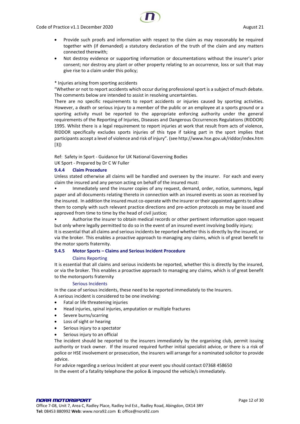

- Provide such proofs and information with respect to the claim as may reasonably be required together with (if demanded) a statutory declaration of the truth of the claim and any matters connected therewith;
- Not destroy evidence or supporting information or documentations without the insurer's prior consent; nor destroy any plant or other property relating to an occurrence, loss or suit that may give rise to a claim under this policy;

#### \* Injuries arising from sporting accidents

"Whether or not to report accidents which occur during professional sport is a subject of much debate. The comments below are intended to assist in resolving uncertainties.

There are no specific requirements to report accidents or injuries caused by sporting activities. However, a death or serious injury to a member of the public or an employee at a sports ground or a sporting activity must be reported to the appropriate enforcing authority under the general requirements of the Reporting of Injuries, Diseases and Dangerous Occurrences Regulations (RIDDOR) 1995. Whilst there is a legal requirement to report injuries at work that result from acts of violence, RIDDOR specifically excludes sports injuries of this type if taking part in the sport implies that participants accept a level of violence and risk of injury". (see http://www.hse.gov.uk/riddor/index.htm [3])

Ref: Safety in Sport - Guidance for UK National Governing Bodies UK Sport - Prepared by Dr C W Fuller

#### <span id="page-11-0"></span>**9.4.4 Claim Procedure**

Unless stated otherwise all claims will be handled and overseen by the insurer. For each and every claim the insured and any person acting on behalf of the insured must:

• Immediately send the insurer copies of any request, demand, order, notice, summons, legal paper and all documents relating thereto in connection with an insured events as soon as received by the insured. In addition the insured must co-operate with the insurer or their appointed agents to allow them to comply with such relevant practice directions and pre-action protocols as may be issued and approved from time to time by the head of civil justice;

• Authorise the insurer to obtain medical records or other pertinent information upon request but only where legally permitted to do so in the event of an insured event involving bodily injury;

It is essential that all claims and serious incidents be reported whether this is directly by the insured, or via the broker. This enables a proactive approach to managing any claims, which is of great benefit to the motor sports fraternity.

#### <span id="page-11-1"></span>**9.4.5 Motor Sports – Claims and Serious Incident Procedure**

#### Claims Reporting

It is essential that all claims and serious incidents be reported, whether this is directly by the insured, or via the broker. This enables a proactive approach to managing any claims, which is of great benefit to the motorsports fraternity

#### Serious Incidents

In the case of serious incidents, these need to be reported immediately to the Insurers. A serious incident is considered to be one involving:

- Fatal or life threatening injuries
- Head injuries, spinal injuries, amputation or multiple fractures
- Severe burns/scarring
- Loss of sight or hearing
- Serious injury to a spectator
- Serious injury to an official

The incident should be reported to the insurers immediately by the organising club, permit issuing authority or track owner. If the insured required further initial specialist advice, or there is a risk of police or HSE involvement or prosecution, the insurers will arrange for a nominated solicitor to provide advice.

For advice regarding a serious Incident at your event you should contact 07368 458650 In the event of a fatality telephone the police & impound the vehicle/s immediately.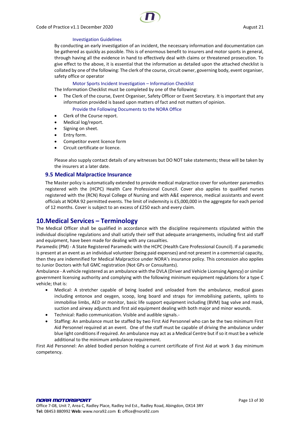

#### Investigation Guidelines

By conducting an early investigation of an incident, the necessary information and documentation can be gathered as quickly as possible. This is of enormous benefit to insurers and motor sports in general, through having all the evidence in hand to effectively deal with claims or threatened prosecution. To give effect to the above, it is essential that the information as detailed upon the attached checklist is collated by one of the following: The clerk of the course, circuit owner, governing body, event organiser, safety office or operator

#### Motor Sports Incident Investigation – Information Checklist

The Information Checklist must be completed by one of the following:

The Clerk of the course, Event Organiser, Safety Officer or Event Secretary. It is important that any information provided is based upon matters of fact and not matters of opinion.

#### Provide the Following Documents to the NORA Office

- Clerk of the Course report.
- Medical log/report.
- Signing on sheet.
- Entry form.
- Competitor event licence form
- Circuit certificate or licence.

Please also supply contact details of any witnesses but DO NOT take statements; these will be taken by the insurers at a later date.

#### <span id="page-12-0"></span>**9.5 Medical Malpractice Insurance**

The Master policy is automatically extended to provide medical malpractice cover for volunteer paramedics registered with the (HCPC) Health Care Professional Council. Cover also applies to qualified nurses registered with the (RCN) Royal College of Nursing and with A&E experence, medical assistants and event officials at NORA 92 permitted events. The limit of indemnity is £5,000,000 in the aggregate for each period of 12 months. Cover is subject to an excess of £250 each and every claim.

### <span id="page-12-1"></span>**10.Medical Services – Terminology**

The Medical Officer shall be qualified in accordance with the discipline requirements stipulated within the individual discipline regulations and shall satisfy their self that adequate arrangements, including first aid staff and equipment, have been made for dealing with any casualties.

Paramedic (PM) - A State Registered Paramedic with the HCPC (Health Care Professional Council). If a paramedic is present at an event as an individual volunteer (being paid expenses) and not present in a commercial capacity, then they are indemnified for Medical Malpractice under NORA's insurance policy. This concession also applies to Junior Doctors with full GMC registration (Not GPs or Consultants).

Ambulance - A vehicle registered as an ambulance with the DVLA (Driver and Vehicle Licensing Agency) or similar government licensing authority and complying with the following minimum equipment regulations for a type C vehicle; that is:

- Medical: A stretcher capable of being loaded and unloaded from the ambulance, medical gases including entonox and oxygen, scoop, long board and straps for immobilising patients, splints to immobilise limbs, AED or monitor, basic life support equipment including (BVM) bag valve and mask, suction and airway adjuncts and first aid equipment dealing with both major and minor wounds.
- Technical: Radio communication. Visible and audible signals.-
- Staffing: An ambulance must be staffed by two First Aid Personnel who can be the two minimum First Aid Personnel required at an event. One of the staff must be capable of driving the ambulance under blue light conditions if required. An ambulance may act as a Medical Centre but if so it must be a vehicle additional to the minimum ambulance requirement.

First Aid Personnel: An abled bodied person holding a current certificate of First Aid at work 3 day minimum competency.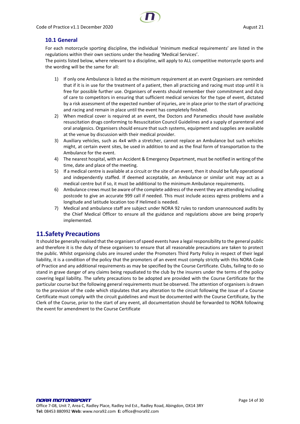### <span id="page-13-0"></span>**10.1 General**

For each motorcycle sporting discipline, the individual 'minimum medical requirements' are listed in the regulations within their own sections under the heading 'Medical Services'.

The points listed below, where relevant to a discipline, will apply to ALL competitive motorcycle sports and the wording will be the same for all:

- 1) If only one Ambulance is listed as the minimum requirement at an event Organisers are reminded that if it is in use for the treatment of a patient, then all practicing and racing must stop until it is free for possible further use. Organisers of events should remember their commitment and duty of care to competitors in ensuring that sufficient medical services for the type of event, dictated by a risk assessment of the expected number of injuries, are in place prior to the start of practicing and racing and remain in place until the event has completely finished.
- 2) When medical cover is required at an event, the Doctors and Paramedics should have available resuscitation drugs conforming to Resuscitation Council Guidelines and a supply of parenteral and oral analgesics. Organisers should ensure that such systems, equipment and supplies are available at the venue by discussion with their medical provider.
- 3) Auxiliary vehicles, such as 4x4 with a stretcher, cannot replace an Ambulance but such vehicles might, at certain event sites, be used in addition to and as the final form of transportation to the Ambulance for the event.
- 4) The nearest hospital, with an Accident & Emergency Department, must be notified in writing of the time, date and place of the meeting.
- 5) If a medical centre is available at a circuit or the site of an event, then it should be fully operational and independently staffed. If deemed acceptable, an Ambulance or similar unit may act as a medical centre but if so, it must be additional to the minimum Ambulance requirements.
- 6) Ambulance crews must be aware of the complete address of the event they are attending including postcode to give an accurate 999 call if needed. This must include access egress problems and a longitude and latitude location too if Helimed is needed.
- 7) Medical and ambulance staff are subject under NORA 92 rules to random unannounced audits by the Chief Medical Officer to ensure all the guidance and regulations above are being properly implemented.

### <span id="page-13-1"></span>**11.Safety Precautions**

It should be generally realised that the organisers of speed events have a legal responsibility to the general public and therefore it is the duty of these organisers to ensure that all reasonable precautions are taken to protect the public. Whilst organising clubs are insured under the Promoters Third Party Policy in respect of their legal liability, it is a condition of the policy that the promoters of an event must comply strictly with this NORA Code of Practice and any additional requirements as may be specified by the Course Certificate. Clubs, failing to do so stand in grave danger of any claims being repudiated to the club by the insurers under the terms of the policy covering legal liability. The safety precautions to be adopted are provided with the Course Certificate for the particular course but the following general requirements must be observed. The attention of organisers is drawn to the provision of the code which stipulates that any alteration to the circuit following the issue of a Course Certificate must comply with the circuit guidelines and must be documented with the Course Certificate, by the Clerk of the Course, prior to the start of any event, all documentation should be forwarded to NORA following the event for amendment to the Course Certificate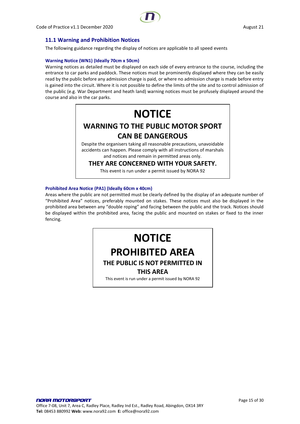### <span id="page-14-0"></span>**11.1 Warning and Prohibition Notices**

The following guidance regarding the display of notices are applicable to all speed events

#### **Warning Notice (WN1) (Ideally 70cm x 50cm)**

Warning notices as detailed must be displayed on each side of every entrance to the course, including the entrance to car parks and paddock. These notices must be prominently displayed where they can be easily read by the public before any admission charge is paid, or where no admission charge is made before entry is gained into the circuit. Where it is not possible to define the limits of the site and to control admission of the public (e.g. War Department and heath land) warning notices must be profusely displayed around the course and also in the car parks.

## **NOTICE WARNING TO THE PUBLIC MOTOR SPORT CAN BE DANGEROUS**

Despite the organisers taking all reasonable precautions, unavoidable accidents can happen. Please comply with all instructions of marshals and notices and remain in permitted areas only.

**THEY ARE CONCERNED WITH YOUR SAFETY.**

This event is run under a permit issued by NORA 92

#### **Prohibited Area Notice (PA1) (Ideally 60cm x 40cm)**

Areas where the public are not permitted must be clearly defined by the display of an adequate number of "Prohibited Area" notices, preferably mounted on stakes. These notices must also be displayed in the prohibited area between any "double roping" and facing between the public and the track. Notices should be displayed within the prohibited area, facing the public and mounted on stakes or fixed to the inner fencing.

## **NOTICE PROHIBITED AREA**

### **THE PUBLIC IS NOT PERMITTED IN**

### **THIS AREA**

This event is run under a permit issued by NORA 92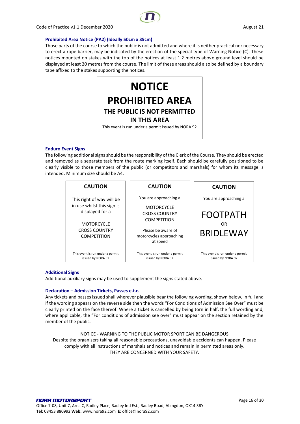

#### **Prohibited Area Notice (PA2) (Ideally 50cm x 35cm)**

Those parts of the course to which the public is not admitted and where it is neither practical nor necessary to erect a rope barrier, may be indicated by the erection of the special type of Warning Notice (C). These notices mounted on stakes with the top of the notices at least 1.2 metres above ground level should be displayed at least 20 metres from the course. The limit of these areas should also be defined by a boundary tape affixed to the stakes supporting the notices.



#### **Enduro Event Signs**

The following additional signs should be the responsibility of the Clerk of the Course. They should be erected and removed as a separate task from the route marking itself. Each should be carefully positioned to be clearly visible to those members of the public (or competitors and marshals) for whom its message is intended. Minimum size should be A4.

| <b>CAUTION</b>                                                                                                                                | <b>CAUTION</b>                                                                                                                                        | <b>CAUTION</b>                                                     |
|-----------------------------------------------------------------------------------------------------------------------------------------------|-------------------------------------------------------------------------------------------------------------------------------------------------------|--------------------------------------------------------------------|
| This right of way will be<br>in use whilst this sign is<br>displayed for a<br><b>MOTORCYCLE</b><br><b>CROSS COUNTRY</b><br><b>COMPETITION</b> | You are approaching a<br><b>MOTORCYCLE</b><br><b>CROSS COUNTRY</b><br><b>COMPETITION</b><br>Please be aware of<br>motorcycles approaching<br>at speed | You are approaching a<br><b>FOOTPATH</b><br>OR<br><b>BRIDLEWAY</b> |
| This event is run under a permit<br>issued by NORA 92                                                                                         | This event is run under a permit<br>issued by NORA 92                                                                                                 | This event is run under a permit<br>issued by NORA 92              |

#### **Additional Signs**

Additional auxiliary signs may be used to supplement the signs stated above.

#### **Declaration – Admission Tickets, Passes e.t.c.**

Any tickets and passes issued shall wherever plausible bear the following wording, shown below, in full and if the wording appears on the reverse side then the words "For Conditions of Admission See Over" must be clearly printed on the face thereof. Where a ticket is cancelled by being torn in half, the full wording and, where applicable, the "For conditions of admission see over" must appear on the section retained by the member of the public.

NOTICE - WARNING TO THE PUBLIC MOTOR SPORT CAN BE DANGEROUS Despite the organisers taking all reasonable precautions, unavoidable accidents can happen. Please comply with all instructions of marshals and notices and remain in permitted areas only. THEY ARE CONCERNED WITH YOUR SAFETY.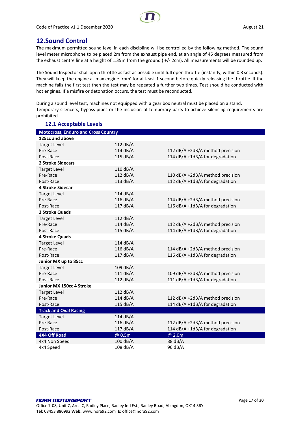### <span id="page-16-0"></span>**12.Sound Control**

The maximum permitted sound level in each discipline will be controlled by the following method. The sound level meter microphone to be placed 2m from the exhaust pipe end, at an angle of 45 degrees measured from the exhaust centre line at a height of 1.35m from the ground ( +/- 2cm). All measurements will be rounded up.

The Sound Inspector shall open throttle as fast as possible until full open throttle (instantly, within 0.3 seconds). They will keep the engine at max engine 'rpm' for at least 1 second before quickly releasing the throttle. If the machine fails the first test then the test may be repeated a further two times. Test should be conducted with hot engines. If a misfire or detonation occurs, the test must be reconducted.

During a sound level test, machines not equipped with a gear box neutral must be placed on a stand. Temporary silencers, bypass pipes or the inclusion of temporary parts to achieve silencing requirements are prohibited.

<span id="page-16-1"></span>

| <b>Motocross, Enduro and Cross Country</b> |            |                                  |
|--------------------------------------------|------------|----------------------------------|
| 125cc and above                            |            |                                  |
| <b>Target Level</b>                        | 112 dB/A   |                                  |
| Pre-Race                                   | 114 dB/A   | 112 dB/A +2dB/A method precision |
| Post-Race                                  | 115 dB/A   | 114 dB/A +1dB/A for degradation  |
| 2 Stroke Sidecars                          |            |                                  |
| <b>Target Level</b>                        | 110 dB/A   |                                  |
| Pre-Race                                   | 112 dB/A   | 110 dB/A +2dB/A method precision |
| Post-Race                                  | 113 dB/A   | 112 dB/A +1dB/A for degradation  |
| <b>4 Stroke Sidecar</b>                    |            |                                  |
| <b>Target Level</b>                        | 114 dB/A   |                                  |
| Pre-Race                                   | 116 dB/A   | 114 dB/A +2dB/A method precision |
| Post-Race                                  | 117 dB/A   | 116 dB/A +1dB/A for degradation  |
| 2 Stroke Quads                             |            |                                  |
| <b>Target Level</b>                        | 112 dB/A   |                                  |
| Pre-Race                                   | 114 dB/A   | 112 dB/A +2dB/A method precision |
| Post-Race                                  | 115 dB/A   | 114 dB/A +1dB/A for degradation  |
| <b>4 Stroke Quads</b>                      |            |                                  |
| <b>Target Level</b>                        | 114 dB/A   |                                  |
| Pre-Race                                   | 116 dB/A   | 114 dB/A +2dB/A method precision |
| Post-Race                                  | 117 dB/A   | 116 dB/A +1dB/A for degradation  |
| Junior MX up to 85cc                       |            |                                  |
| <b>Target Level</b>                        | 109 dB/A   |                                  |
| Pre-Race                                   | 111 dB/A   | 109 dB/A +2dB/A method precision |
| Post-Race                                  | 112 $dB/A$ | 111 dB/A +1dB/A for degradation  |
| Junior MX 150cc 4 Stroke                   |            |                                  |
| <b>Target Level</b>                        | 112 dB/A   |                                  |
| Pre-Race                                   | 114 dB/A   | 112 dB/A +2dB/A method precision |
| Post-Race                                  | 115 dB/A   | 114 dB/A +1dB/A for degradation  |
| <b>Track and Oval Racing</b>               |            |                                  |
| <b>Target Level</b>                        | 114 dB/A   |                                  |
| Pre-Race                                   | 116 dB/A   | 112 dB/A +2dB/A method precision |
| Post-Race                                  | 117 dB/A   | 114 dB/A +1dB/A for degradation  |
| <b>4X4 Off Road</b>                        | @ 0.5m     | @ 2.0m                           |
| 4x4 Non Speed                              | 100 dB/A   | 88 dB/A                          |
| 4x4 Speed                                  | 108 dB/A   | 96 dB/A                          |

### **12.1 Acceptable Levels**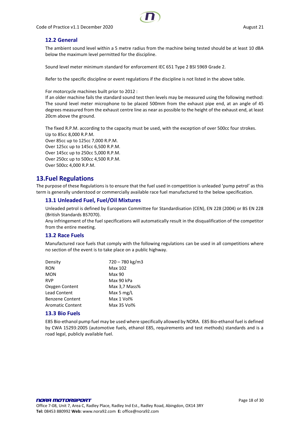

### <span id="page-17-0"></span>**12.2 General**

The ambient sound level within a 5 metre radius from the machine being tested should be at least 10 dBA below the maximum level permitted for the discipline.

Sound level meter minimum standard for enforcement IEC 651 Type 2 BSI 5969 Grade 2.

Refer to the specific discipline or event regulations if the discipline is not listed in the above table.

For motorcycle machines built prior to 2012 :

If an older machine fails the standard sound test then levels may be measured using the following method: The sound level meter microphone to be placed 500mm from the exhaust pipe end, at an angle of 45 degrees measured from the exhaust centre line as near as possible to the height of the exhaust end, at least 20cm above the ground.

The fixed R.P.M. according to the capacity must be used, with the exception of over 500cc four strokes. Up to 85cc 8,000 R.P.M. Over 85cc up to 125cc 7,000 R.P.M. Over 125cc up to 145cc 6,500 R.P.M. Over 145cc up to 250cc 5,000 R.P.M. Over 250cc up to 500cc 4,500 R.P.M. Over 500cc 4,000 R.P.M.

### <span id="page-17-1"></span>**13.Fuel Regulations**

The purpose of these Regulations is to ensure that the fuel used in competition is unleaded 'pump petrol' as this term is generally understood or commercially available race fuel manufactured to the below specification.

### <span id="page-17-2"></span>**13.1 Unleaded Fuel, Fuel/Oil Mixtures**

Unleaded petrol is defined by European Committee for Standardisation (CEN), EN 228 (2004) or BS EN 228 (British Standards BS7070).

Any infringement of the fuel specifications will automatically result in the disqualification of the competitor from the entire meeting.

### <span id="page-17-3"></span>**13.2 Race Fuels**

Manufactured race fuels that comply with the following regulations can be used in all competitions where no section of the event is to take place on a public highway.

| Density                 | 720 - 780 kg/m3 |
|-------------------------|-----------------|
| <b>RON</b>              | Max 102         |
| <b>MON</b>              | Max 90          |
| <b>RVP</b>              | Max 90 kPa      |
| Oxygen Content          | Max 3,7 Mass%   |
| <b>Lead Content</b>     | Max 5 $mg/L$    |
| <b>Benzene Content</b>  | Max 1 Vol%      |
| <b>Aromatic Content</b> | Max 35 Vol%     |

### <span id="page-17-4"></span>**13.3 Bio Fuels**

E85 Bio-ethanol pump fuel may be used where specifically allowed by NORA. E85 Bio-ethanol fuel is defined by CWA 15293:2005 (automotive fuels, ethanol E85, requirements and test methods) standards and is a road legal, publicly available fuel.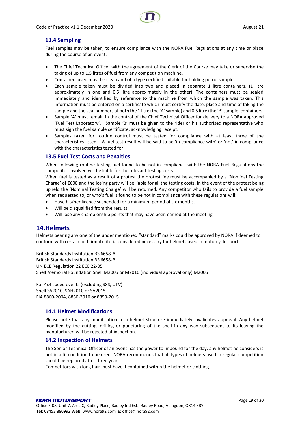

### <span id="page-18-0"></span>**13.4 Sampling**

Fuel samples may be taken, to ensure compliance with the NORA Fuel Regulations at any time or place during the course of an event.

- The Chief Technical Officer with the agreement of the Clerk of the Course may take or supervise the taking of up to 1.5 litres of fuel from any competition machine.
- Containers used must be clean and of a type certified suitable for holding petrol samples.
- Each sample taken must be divided into two and placed in separate 1 litre containers. (1 litre approximately in one and 0.5 litre approximately in the other). The containers must be sealed immediately and identified by reference to the machine from which the sample was taken. This information must be entered on a certificate which must certify the date, place and time of taking the sample and the seal numbers of both the 1 litre (the 'A' sample) and 0.5 litre (the 'B' sample) containers.
- Sample 'A' must remain in the control of the Chief Technical Officer for delivery to a NORA approved 'Fuel Test Laboratory'. Sample 'B' must be given to the rider or his authorised representative who must sign the fuel sample certificate, acknowledging receipt.
- Samples taken for routine control must be tested for compliance with at least three of the characteristics listed – A fuel test result will be said to be 'in compliance with' or 'not' in compliance with the characteristics tested for.

### <span id="page-18-1"></span>**13.5 Fuel Test Costs and Penalties**

When following routine testing fuel found to be not in compliance with the NORA Fuel Regulations the competitor involved will be liable for the relevant testing costs.

When fuel is tested as a result of a protest the protest fee must be accompanied by a 'Nominal Testing Charge' of £600 and the losing party will be liable for all the testing costs. In the event of the protest being upheld the 'Nominal Testing Charge' will be returned. Any competitor who fails to provide a fuel sample when requested to, or who's fuel is found to be not in compliance with these regulations will:

- Have his/her licence suspended for a minimum period of six months.
- Will be disqualified from the results.
- Will lose any championship points that may have been earned at the meeting.

### <span id="page-18-2"></span>**14.Helmets**

Helmets bearing any one of the under mentioned "standard" marks could be approved by NORA if deemed to conform with certain additional criteria considered necessary for helmets used in motorcycle sport.

British Standards Institution BS 6658-A British Standards Institution BS 6658-B UN ECE Regulation 22 ECE 22-05 Snell Memorial Foundation Snell M2005 or M2010 (individual approval only) M2005

For 4x4 speed events (excluding SXS, UTV) Snell SA2010, SAH2010 or SA2015 FIA 8860-2004, 8860-2010 or 8859-2015

### <span id="page-18-3"></span>**14.1 Helmet Modifications**

Please note that any modification to a helmet structure immediately invalidates approval. Any helmet modified by the cutting, drilling or puncturing of the shell in any way subsequent to its leaving the manufacturer, will be rejected at inspection.

### <span id="page-18-4"></span>**14.2 Inspection of Helmets**

The Senior Technical Officer of an event has the power to impound for the day, any helmet he considers is not in a fit condition to be used. NORA recommends that all types of helmets used in regular competition should be replaced after three years.

Competitors with long hair must have it contained within the helmet or clothing.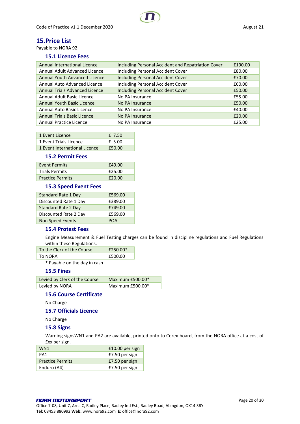### <span id="page-19-0"></span>**15.Price List**

<span id="page-19-1"></span>Payable to NORA 92

### **15.1 Licence Fees**

| <b>Annual International Licence</b>   | Including Personal Accident and Repatriation Cover | £190.00 |
|---------------------------------------|----------------------------------------------------|---------|
| Annual Adult Advanced Licence         | Including Personal Accident Cover                  | £80.00  |
| Annual Youth Advanced Licence         | <b>Including Personal Accident Cover</b>           | £70.00  |
| Annual Auto Advanced Licence          | <b>Including Personal Accident Cover</b>           | £60.00  |
| <b>Annual Trials Advanced Licence</b> | <b>Including Personal Accident Cover</b>           | £50.00  |
| Annual Adult Basic Licence            | No PA Insurance                                    | £55.00  |
| <b>Annual Youth Basic Licence</b>     | No PA Insurance                                    | £50.00  |
| Annual Auto Basic Licence             | No PA Insurance                                    | £40.00  |
| <b>Annual Trials Basic Licence</b>    | No PA Insurance                                    | £20.00  |
| Annual Practice Licence               | No PA Insurance                                    | £25.00  |

| 1 Event Licence               | f 7.50 |
|-------------------------------|--------|
| 1 Event Trials Licence        | £ 5.00 |
| 1 Event International Licence | £50.00 |

#### **15.2 Permit Fees**

<span id="page-19-2"></span>

| <b>Event Permits</b>    | £49.00 |
|-------------------------|--------|
| <b>Trials Permits</b>   | £25.00 |
| <b>Practice Permits</b> | £20.00 |

### <span id="page-19-3"></span>**15.3 Speed Event Fees**

| Standard Rate 1 Day        | £569.00    |
|----------------------------|------------|
| Discounted Rate 1 Day      | £389.00    |
| <b>Standard Rate 2 Day</b> | £749.00    |
| Discounted Rate 2 Day      | £569.00    |
| Non Speed Events           | <b>POA</b> |

### <span id="page-19-4"></span>**15.4 Protest Fees**

Engine Measurement & Fuel Testing charges can be found in discipline regulations and Fuel Regulations within these Regulations.

| To the Clerk of the Course | $f250.00*$ |
|----------------------------|------------|
| To NORA                    | E500.00    |

\* Payable on the day in cash

### <span id="page-19-5"></span>**15.5 Fines**

| Levied by Clerk of the Course | Maximum $£500.00*$ |
|-------------------------------|--------------------|
| Levied by NORA                | Maximum £500.00*   |

### <span id="page-19-6"></span>**15.6 Course Certificate**

No Charge

### <span id="page-19-7"></span>**15.7 Officials Licence**

No Charge

### <span id="page-19-8"></span>**15.8 Signs**

Warning signsWN1 and PA2 are available, printed onto to Corex board, from the NORA office at a cost of £xx per sign.

| WN <sub>1</sub>         | £10.00 per sign |
|-------------------------|-----------------|
| PA1                     | £7.50 per sign  |
| <b>Practice Permits</b> | £7.50 per sign  |
| Enduro (A4)             | £7.50 per sign  |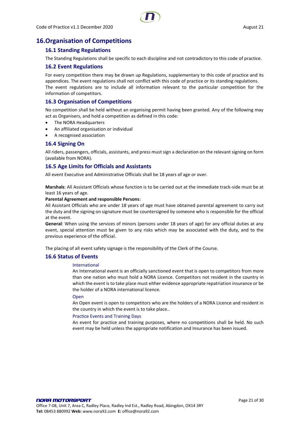### <span id="page-20-1"></span><span id="page-20-0"></span>**16.Organisation of Competitions**

### **16.1 Standing Regulations**

The Standing Regulations shall be specific to each discipline and not contradictory to this code of practice.

### <span id="page-20-2"></span>**16.2 Event Regulations**

For every competition there may be drawn up Regulations, supplementary to this code of practice and its appendices. The event regulations shall not conflict with this code of practice or its standing regulations. The event regulations are to include all information relevant to the particular competition for the information of competitors.

### <span id="page-20-3"></span>**16.3 Organisation of Competitions**

No competition shall be held without an organising permit having been granted. Any of the following may act as Organisers, and hold a competition as defined in this code:

- The NORA Headquarters
- An affiliated organisation or individual
- A recognised association

### <span id="page-20-4"></span>**16.4 Signing On**

All riders, passengers, officials, assistants, and press must sign a declaration on the relevant signing on form (available from NORA).

#### <span id="page-20-5"></span>**16.5 Age Limits for Officials and Assistants**

All event Executive and Administrative Officials shall be 18 years of age or over.

**Marshals**: All Assistant Officials whose function is to be carried out at the immediate track-side must be at least 16 years of age.

#### **Parental Agreement and responsible Persons**:

All Assistant Officials who are under 18 years of age must have obtained parental agreement to carry out the duty and the signing on signature must be countersigned by someone who is responsible for the official at the event.

**General**: When using the services of minors (persons under 18 years of age) for any official duties at any event, special attention must be given to any risks which may be associated with the duty, and to the previous experience of the official.

The placing of all event safety signage is the responsibility of the Clerk of the Course.

### <span id="page-20-6"></span>**16.6 Status of Events**

#### International

An International event is an officially sanctioned event that is open to competitors from more than one nation who must hold a NORA Licence. Competitors not resident in the country in which the event is to take place must either evidence appropriate repatriation insurance or be the holder of a NORA international licence.

#### Open

An Open event is open to competitors who are the holders of a NORA Licence and resident in the country in which the event is to take place..

#### Practice Events and Training Days

An event for practice and training purposes, where no competitions shall be held. No such event may be held unless the appropriate notification and Insurance has been issued.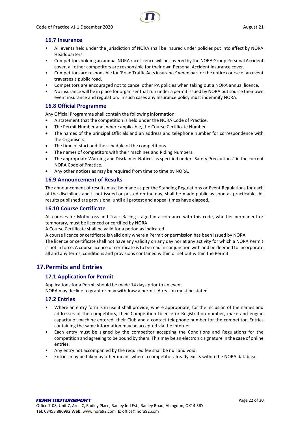

### <span id="page-21-0"></span>**16.7 Insurance**

- All events held under the jurisdiction of NORA shall be insured under policies put into effect by NORA Headquarters
- Competitors holding an annual NORA race licence will be covered by the NORA Group Personal Accident cover, all other competitors are responsible for their own Personal Accident insurance cover.
- Competitors are responsible for 'Road Traffic Acts insurance' when part or the entire course of an event traverses a public road.
- Competitors are encouraged not to cancel other PA policies when taking out a NORA annual licence.
- No insurance will be in place for organiser that run under a permit issued by NORA but source their own event insurance and regulation. In such cases any Insurance policy must indemnify NORA.

### <span id="page-21-1"></span>**16.8 Official Programme**

Any Official Programme shall contain the following information:

- A statement that the competition is held under the NORA Code of Practice.
- The Permit Number and, where applicable, the Course Certificate Number.
- The names of the principal Officials and an address and telephone number for correspondence with the Organisers.
- The time of start and the schedule of the competitions.
- The names of competitors with their machines and Riding Numbers.
- The appropriate Warning and Disclaimer Notices as specified under "Safety Precautions" in the current NORA Code of Practice.
- Any other notices as may be required from time to time by NORA.

### <span id="page-21-2"></span>**16.9 Announcement of Results**

The announcement of results must be made as per the Standing Regulations or Event Regulations for each of the disciplines and if not issued or posted on the day, shall be made public as soon as practicable. All results published are provisional until all protest and appeal times have elapsed.

### <span id="page-21-3"></span>**16.10 Course Certificate**

All courses for Motocross and Track Racing staged in accordance with this code, whether permanent or temporary, must be licenced or certified by NORA

A Course Certificate shall be valid for a period as indicated.

A course licence or certificate is valid only where a Permit or permission has been issued by NORA

The licence or certificate shall not have any validity on any day nor at any activity for which a NORA Permit is not in force. A course licence or certificate is to be read in conjunction with and be deemed to incorporate all and any terms, conditions and provisions contained within or set out within the Permit.

### <span id="page-21-5"></span><span id="page-21-4"></span>**17.Permits and Entries**

### **17.1 Application for Permit**

Applications for a Permit should be made 14 days prior to an event. NORA may decline to grant or may withdraw a permit. A reason must be stated

### <span id="page-21-6"></span>**17.2 Entries**

- Where an entry form is in use it shall provide, where appropriate, for the inclusion of the names and addresses of the competitors, their Competition Licence or Registration number, make and engine capacity of machine entered, their Club and a contact telephone number for the competitor. Entries containing the same information may be accepted via the internet.
- Each entry must be signed by the competitor accepting the Conditions and Regulations for the competition and agreeing to be bound by them. This may be an electronic signature in the case of online entries.
- Any entry not accompanied by the required fee shall be null and void.
- Entries may be taken by other means where a competitor already exists within the NORA database.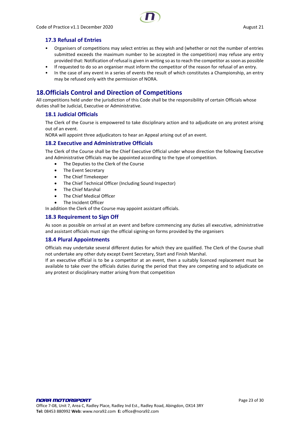

### <span id="page-22-0"></span>**17.3 Refusal of Entries**

- Organisers of competitions may select entries as they wish and (whether or not the number of entries submitted exceeds the maximum number to be accepted in the competition) may refuse any entry provided that: Notification of refusal is given in writing so as to reach the competitor as soon as possible
- If requested to do so an organiser must inform the competitor of the reason for refusal of an entry.
- In the case of any event in a series of events the result of which constitutes a Championship, an entry may be refused only with the permission of NORA.

### <span id="page-22-1"></span>**18.Officials Control and Direction of Competitions**

All competitions held under the jurisdiction of this Code shall be the responsibility of certain Officials whose duties shall be Judicial, Executive or Administrative.

### <span id="page-22-2"></span>**18.1 Judicial Officials**

The Clerk of the Course is empowered to take disciplinary action and to adjudicate on any protest arising out of an event.

NORA will appoint three adjudicators to hear an Appeal arising out of an event.

### <span id="page-22-3"></span>**18.2 Executive and Administrative Officials**

The Clerk of the Course shall be the Chief Executive Official under whose direction the following Executive and Administrative Officials may be appointed according to the type of competition.

- The Deputies to the Clerk of the Course
- The Event Secretary
- The Chief Timekeeper
- The Chief Technical Officer (Including Sound Inspector)
- The Chief Marshal
- The Chief Medical Officer
- The Incident Officer

In addition the Clerk of the Course may appoint assistant officials.

#### <span id="page-22-4"></span>**18.3 Requirement to Sign Off**

As soon as possible on arrival at an event and before commencing any duties all executive, administrative and assistant officials must sign the official signing-on forms provided by the organisers

### <span id="page-22-5"></span>**18.4 Plural Appointments**

Officials may undertake several different duties for which they are qualified. The Clerk of the Course shall not undertake any other duty except Event Secretary, Start and Finish Marshal.

If an executive official is to be a competitor at an event, then a suitably licenced replacement must be available to take over the officials duties during the period that they are competing and to adjudicate on any protest or disciplinary matter arising from that competition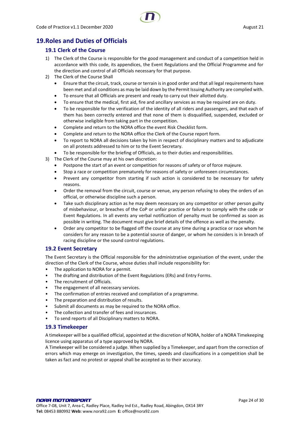### <span id="page-23-1"></span><span id="page-23-0"></span>**19.Roles and Duties of Officials**

### **19.1 Clerk of the Course**

- 1) The Clerk of the Course is responsible for the good management and conduct of a competition held in accordance with this code, its appendices, the Event Regulations and the Official Programme and for the direction and control of all Officials necessary for that purpose.
- 2) The Clerk of the Course Shall
	- Ensure that the circuit, track, course or terrain is in good order and that all legal requirements have been met and all conditions as may be laid down by the Permit Issuing Authority are complied with.
	- To ensure that all Officials are present and ready to carry out their allotted duty.
	- To ensure that the medical, first aid, fire and ancillary services as may be required are on duty.
	- To be responsible for the verification of the identity of all riders and passengers, and that each of them has been correctly entered and that none of them is disqualified, suspended, excluded or otherwise ineligible from taking part in the competition.
	- Complete and return to the NORA office the event Risk Checklist form.
	- Complete and return to the NORA office the Clerk of the Course report form.
	- To report to NORA all decisions taken by him in respect of disciplinary matters and to adjudicate on all protests addressed to him or to the Event Secretary.
	- To be responsible for the briefing of Officials, as to their duties and responsibilities.
- 3) The Clerk of the Course may at his own discretion:
	- Postpone the start of an event or competition for reasons of safety or of force majeure.
	- Stop a race or competition prematurely for reasons of safety or unforeseen circumstances.
	- Prevent any competitor from starting if such action is considered to be necessary for safety reasons.
	- Order the removal from the circuit, course or venue, any person refusing to obey the orders of an official, or otherwise discipline such a person.
	- Take such disciplinary action as he may deem necessary on any competitor or other person guilty of misbehaviour, or breaches of the CoP or unfair practice or failure to comply with the code or Event Regulations. In all events any verbal notification of penalty must be confirmed as soon as possible in writing. The document must give brief details of the offence as well as the penalty.
	- Order any competitor to be flagged off the course at any time during a practice or race whom he considers for any reason to be a potential source of danger, or whom he considers is in breach of racing discipline or the sound control regulations.

### <span id="page-23-2"></span>**19.2 Event Secretary**

The Event Secretary is the Official responsible for the administrative organisation of the event, under the direction of the Clerk of the Course, whose duties shall include responsibility for:

- The application to NORA for a permit.
- The drafting and distribution of the Event Regulations (ERs) and Entry Forms.
- The recruitment of Officials.
- The engagement of all necessary services.
- The confirmation of entries received and compilation of a programme.
- The preparation and distribution of results.
- Submit all documents as may be required to the NORA office.
- The collection and transfer of fees and insurances.
- To send reports of all Disciplinary matters to NORA.

### <span id="page-23-3"></span>**19.3 Timekeeper**

A timekeeper will be a qualified official, appointed at the discretion of NORA, holder of a NORA Timekeeping licence using apparatus of a type approved by NORA.

A Timekeeper will be considered a judge. When supplied by a Timekeeper, and apart from the correction of errors which may emerge on investigation, the times, speeds and classifications in a competition shall be taken as fact and no protest or appeal shall be accepted as to their accuracy.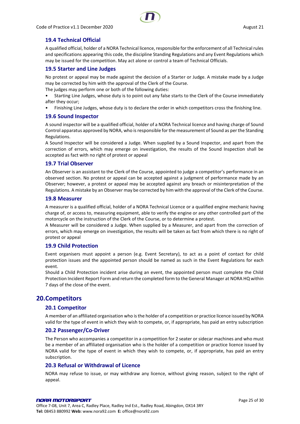

### <span id="page-24-0"></span>**19.4 Technical Official**

A qualified official, holder of a NORA Technical licence, responsible for the enforcement of all Technical rules and specifications appearing this code, the discipline Standing Regulations and any Event Regulations which may be issued for the competition. May act alone or control a team of Technical Officials.

#### <span id="page-24-1"></span>**19.5 Starter and Line Judges**

No protest or appeal may be made against the decision of a Starter or Judge. A mistake made by a Judge may be corrected by him with the approval of the Clerk of the Course.

The judges may perform one or both of the following duties:

- Starting Line Judges, whose duty is to point out any false starts to the Clerk of the Course immediately after they occur;
- Finishing Line Judges, whose duty is to declare the order in which competitors cross the finishing line.

#### <span id="page-24-2"></span>**19.6 Sound Inspector**

A sound inspector will be a qualified official, holder of a NORA Technical licence and having charge of Sound Control apparatus approved by NORA, who is responsible for the measurement of Sound as per the Standing Regulations.

A Sound Inspector will be considered a Judge. When supplied by a Sound Inspector, and apart from the correction of errors, which may emerge on investigation, the results of the Sound Inspection shall be accepted as fact with no right of protest or appeal

#### <span id="page-24-3"></span>**19.7 Trial Observer**

An Observer is an assistant to the Clerk of the Course, appointed to judge a competitor's performance in an observed section. No protest or appeal can be accepted against a judgment of performance made by an Observer; however, a protest or appeal may be accepted against any breach or misinterpretation of the Regulations. A mistake by an Observer may be corrected by him with the approval of the Clerk of the Course.

#### <span id="page-24-4"></span>**19.8 Measurer**

A measurer is a qualified official, holder of a NORA Technical Licence or a qualified engine mechanic having charge of, or access to, measuring equipment, able to verify the engine or any other controlled part of the motorcycle on the instruction of the Clerk of the Course, or to determine a protest.

A Measurer will be considered a Judge. When supplied by a Measurer, and apart from the correction of errors, which may emerge on investigation, the results will be taken as fact from which there is no right of protest or appeal

### <span id="page-24-5"></span>**19.9 Child Protection**

Event organisers must appoint a person (e.g. Event Secretary), to act as a point of contact for child protection issues and the appointed person should be named as such in the Event Regulations for each event.

Should a Child Protection incident arise during an event, the appointed person must complete the Child Protection Incident Report Form and return the completed form to the General Manager at NORA HQ within 7 days of the close of the event.

### <span id="page-24-7"></span><span id="page-24-6"></span>**20.Competitors**

#### **20.1 Competitor**

A member of an affiliated organisation who is the holder of a competition or practice licence issued by NORA valid for the type of event in which they wish to compete, or, if appropriate, has paid an entry subscription

#### <span id="page-24-8"></span>**20.2 Passenger/Co-Driver**

The Person who accompanies a competitor in a competition for 2 seater or sidecar machines and who must be a member of an affiliated organisation who is the holder of a competition or practice licence issued by NORA valid for the type of event in which they wish to compete, or, if appropriate, has paid an entry subscription

### <span id="page-24-9"></span>**20.3 Refusal or Withdrawal of Licence**

NORA may refuse to issue, or may withdraw any licence, without giving reason, subject to the right of appeal.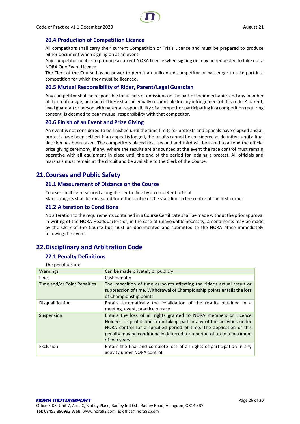

### <span id="page-25-0"></span>**20.4 Production of Competition Licence**

All competitors shall carry their current Competition or Trials Licence and must be prepared to produce either document when signing on at an event.

Any competitor unable to produce a current NORA licence when signing on may be requested to take out a NORA One Event Licence.

The Clerk of the Course has no power to permit an unlicensed competitor or passenger to take part in a competition for which they must be licenced.

### <span id="page-25-1"></span>**20.5 Mutual Responsibility of Rider, Parent/Legal Guardian**

Any competitor shall be responsible for all acts or omissions on the part of their mechanics and any member of their entourage, but each of these shall be equally responsible for any infringement of this code. A parent, legal guardian or person with parental responsibility of a competitor participating in a competition requiring consent, is deemed to bear mutual responsibility with that competitor.

#### <span id="page-25-2"></span>**20.6 Finish of an Event and Prize Giving**

An event is not considered to be finished until the time-limits for protests and appeals have elapsed and all protests have been settled. If an appeal is lodged, the results cannot be considered as definitive until a final decision has been taken. The competitors placed first, second and third will be asked to attend the official prize giving ceremony, if any. Where the results are announced at the event the race control must remain operative with all equipment in place until the end of the period for lodging a protest. All officials and marshals must remain at the circuit and be available to the Clerk of the Course.

### <span id="page-25-4"></span><span id="page-25-3"></span>**21.Courses and Public Safety**

### **21.1 Measurement of Distance on the Course**

Courses shall be measured along the centre line by a competent official.

Start straights shall be measured from the centre of the start line to the centre of the first corner.

### <span id="page-25-5"></span>**21.2 Alteration to Conditions**

No alteration to the requirements contained in a Course Certificate shall be made without the prior approval in writing of the NORA Headquarters or, in the case of unavoidable necessity, amendments may be made by the Clerk of the Course but must be documented and submitted to the NORA office immediately following the event.

### <span id="page-25-7"></span><span id="page-25-6"></span>**22.Disciplinary and Arbitration Code**

### **22.1 Penalty Definitions**

The penalties are:

| <b>Warnings</b>             | Can be made privately or publicly                                                                                                                                                                                                                                                                              |
|-----------------------------|----------------------------------------------------------------------------------------------------------------------------------------------------------------------------------------------------------------------------------------------------------------------------------------------------------------|
| <b>Fines</b>                | Cash penalty                                                                                                                                                                                                                                                                                                   |
| Time and/or Point Penalties | The imposition of time or points affecting the rider's actual result or<br>suppression of time. Withdrawal of Championship points entails the loss<br>of Championship points                                                                                                                                   |
| Disqualification            | Entails automatically the invalidation of the results obtained in a<br>meeting, event, practice or race                                                                                                                                                                                                        |
| Suspension                  | Entails the loss of all rights granted to NORA members or Licence<br>Holders, or prohibition from taking part in any of the activities under<br>NORA control for a specified period of time. The application of this<br>penalty may be conditionally deferred for a period of up to a maximum<br>of two years. |
| Exclusion                   | Entails the final and complete loss of all rights of participation in any<br>activity under NORA control.                                                                                                                                                                                                      |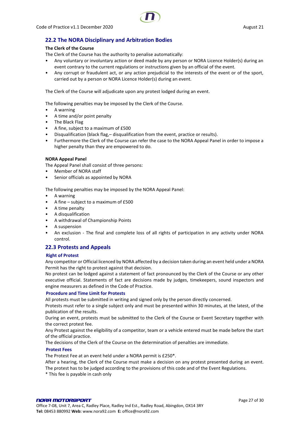

### <span id="page-26-0"></span>**22.2 The NORA Disciplinary and Arbitration Bodies**

#### **The Clerk of the Course**

The Clerk of the Course has the authority to penalise automatically:

- Any voluntary or involuntary action or deed made by any person or NORA Licence Holder(s) during an event contrary to the current regulations or instructions given by an official of the event.
- Any corrupt or fraudulent act, or any action prejudicial to the interests of the event or of the sport, carried out by a person or NORA Licence Holder(s) during an event.

The Clerk of the Course will adjudicate upon any protest lodged during an event.

The following penalties may be imposed by the Clerk of the Course.

- A warning
- A time and/or point penalty
- The Black Flag
- A fine, subject to a maximum of £500
- Disqualification (black flag,– disqualification from the event, practice or results).
- Furthermore the Clerk of the Course can refer the case to the NORA Appeal Panel in order to impose a higher penalty than they are empowered to do.

#### **NORA Appeal Panel**

The Appeal Panel shall consist of three persons:

- Member of NORA staff
- Senior officials as appointed by NORA

The following penalties may be imposed by the NORA Appeal Panel:

- A warning
- A fine subject to a maximum of £500
- A time penalty
- A disqualification
- A withdrawal of Championship Points
- A suspension
- An exclusion The final and complete loss of all rights of participation in any activity under NORA control.

#### <span id="page-26-1"></span>**22.3 Protests and Appeals**

#### **Right of Protest**

Any competitor or Official licenced by NORA affected by a decision taken during an event held under a NORA Permit has the right to protest against that decision.

No protest can be lodged against a statement of fact pronounced by the Clerk of the Course or any other executive official. Statements of fact are decisions made by judges, timekeepers, sound inspectors and engine measurers as defined in the Code of Practice.

#### **Procedure and Time Limit for Protests**

All protests must be submitted in writing and signed only by the person directly concerned.

Protests must refer to a single subject only and must be presented within 30 minutes, at the latest, of the publication of the results.

During an event, protests must be submitted to the Clerk of the Course or Event Secretary together with the correct protest fee.

Any Protest against the eligibility of a competitor, team or a vehicle entered must be made before the start of the official practice.

The decisions of the Clerk of the Course on the determination of penalties are immediate.

#### **Protest Fees**

The Protest Fee at an event held under a NORA permit is £250\*.

After a hearing, the Clerk of the Course must make a decision on any protest presented during an event. The protest has to be judged according to the provisions of this code and of the Event Regulations.

\* This fee is payable in cash only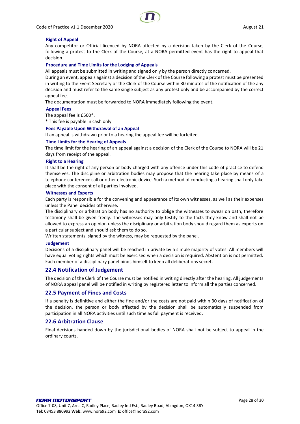Code of Practice v1.1 December 2020 August 21



#### **Right of Appeal**

Any competitor or Official licenced by NORA affected by a decision taken by the Clerk of the Course, following a protest to the Clerk of the Course, at a NORA permitted event has the right to appeal that decision.

#### **Procedure and Time Limits for the Lodging of Appeals**

All appeals must be submitted in writing and signed only by the person directly concerned.

During an event, appeals against a decision of the Clerk of the Course following a protest must be presented in writing to the Event Secretary or the Clerk of the Course within 30 minutes of the notification of the any decision and must refer to the same single subject as any protest only and be accompanied by the correct appeal fee.

The documentation must be forwarded to NORA immediately following the event.

#### **Appeal Fees**

The appeal fee is £500\*.

\* This fee is payable in cash only

#### **Fees Payable Upon Withdrawal of an Appeal**

If an appeal is withdrawn prior to a hearing the appeal fee will be forfeited.

#### **Time Limits for the Hearing of Appeals**

The time limit for the hearing of an appeal against a decision of the Clerk of the Course to NORA will be 21 days from receipt of the appeal.

#### **Right to a Hearing**

It shall be the right of any person or body charged with any offence under this code of practice to defend themselves. The discipline or arbitration bodies may propose that the hearing take place by means of a telephone conference call or other electronic device. Such a method of conducting a hearing shall only take place with the consent of all parties involved.

#### **Witnesses and Experts**

Each party is responsible for the convening and appearance of its own witnesses, as well as their expenses unless the Panel decides otherwise.

The disciplinary or arbitration body has no authority to oblige the witnesses to swear on oath, therefore testimony shall be given freely. The witnesses may only testify to the facts they know and shall not be allowed to express an opinion unless the disciplinary or arbitration body should regard them as experts on a particular subject and should ask them to do so.

Written statements, signed by the witness, may be requested by the panel.

#### **Judgement**

Decisions of a disciplinary panel will be reached in private by a simple majority of votes. All members will have equal voting rights which must be exercised when a decision is required. Abstention is not permitted. Each member of a disciplinary panel binds himself to keep all deliberations secret.

### <span id="page-27-0"></span>**22.4 Notification of Judgement**

The decision of the Clerk of the Course must be notified in writing directly after the hearing. All judgements of NORA appeal panel will be notified in writing by registered letter to inform all the parties concerned.

#### <span id="page-27-1"></span>**22.5 Payment of Fines and Costs**

If a penalty is definitive and either the fine and/or the costs are not paid within 30 days of notification of the decision, the person or body affected by the decision shall be automatically suspended from participation in all NORA activities until such time as full payment is received.

#### <span id="page-27-2"></span>**22.6 Arbitration Clause**

Final decisions handed down by the jurisdictional bodies of NORA shall not be subject to appeal in the ordinary courts.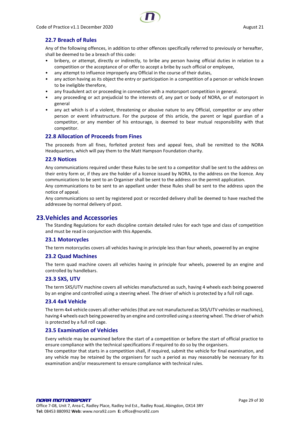

### <span id="page-28-0"></span>**22.7 Breach of Rules**

Any of the following offences, in addition to other offences specifically referred to previously or hereafter, shall be deemed to be a breach of this code:

- bribery, or attempt, directly or indirectly, to bribe any person having official duties in relation to a competition or the acceptance of or offer to accept a bribe by such official or employee,
- any attempt to influence improperly any Official in the course of their duties,
- any action having as its object the entry or participation in a competition of a person or vehicle known to be ineligible therefore,
- any fraudulent act or proceeding in connection with a motorsport competition in general.
- any proceeding or act prejudicial to the interests of, any part or body of NORA, or of motorsport in general
- any act which is of a violent, threatening or abusive nature to any Official, competitor or any other person or event infrastructure. For the purpose of this article, the parent or legal guardian of a competitor, or any member of his entourage, is deemed to bear mutual responsibility with that competitor.

### <span id="page-28-1"></span>**22.8 Allocation of Proceeds from Fines**

The proceeds from all fines, forfeited protest fees and appeal fees, shall be remitted to the NORA Headquarters, which will pay them to the Matt Hampson Foundation charity.

#### <span id="page-28-2"></span>**22.9 Notices**

Any communications required under these Rules to be sent to a competitor shall be sent to the address on their entry form or, if they are the holder of a licence issued by NORA, to the address on the licence. Any communications to be sent to an Organiser shall be sent to the address on the permit application.

Any communications to be sent to an appellant under these Rules shall be sent to the address upon the notice of appeal.

Any communications so sent by registered post or recorded delivery shall be deemed to have reached the addressee by normal delivery of post.

### <span id="page-28-3"></span>**23.Vehicles and Accessories**

The Standing Regulations for each discipline contain detailed rules for each type and class of competition and must be read in conjunction with this Appendix.

### <span id="page-28-4"></span>**23.1 Motorcycles**

The term motorcycles covers all vehicles having in principle less than four wheels, powered by an engine

### <span id="page-28-5"></span>**23.2 Quad Machines**

The term quad machine covers all vehicles having in principle four wheels, powered by an engine and controlled by handlebars.

### <span id="page-28-6"></span>**23.3 SXS, UTV**

The term SXS/UTV machine covers all vehicles manufactured as such, having 4 wheels each being powered by an engine and controlled using a steering wheel. The driver of which is protected by a full roll cage.

#### <span id="page-28-7"></span>**23.4 4x4 Vehicle**

The term 4x4 vehicle covers all other vehicles (that are not manufactured as SXS/UTV vehicles or machines), having 4 wheels each being powered by an engine and controlled using a steering wheel. The driver of which is protected by a full roll cage.

### <span id="page-28-8"></span>**23.5 Examination of Vehicles**

Every vehicle may be examined before the start of a competition or before the start of official practice to ensure compliance with the technical specifications if required to do so by the organisers.

The competitor that starts in a competition shall, if required, submit the vehicle for final examination, and any vehicle may be retained by the organisers for such a period as may reasonably be necessary for its examination and/or measurement to ensure compliance with technical rules.